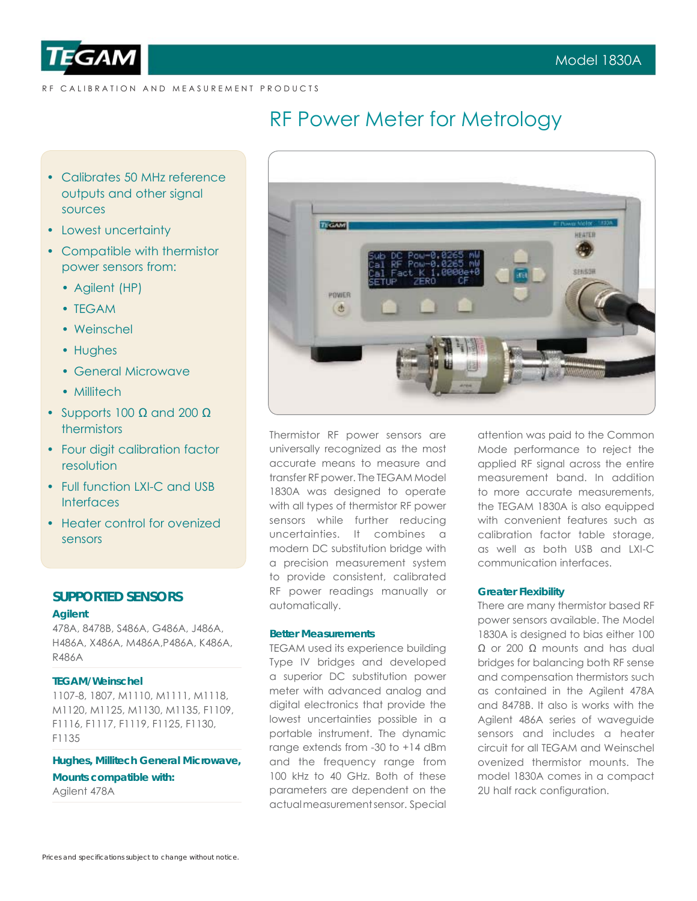

RF CALIBRATION AND MEASUREMENT PRODUCTS

# RF Power Meter for Metrology

- Calibrates 50 MHz reference outputs and other signal sources
- Lowest uncertainty
- Compatible with thermistor power sensors from:
	- Agilent (HP)
	- TEGAM
	- Weinschel
	- Hughes
	- General Microwave
	- Millitech
- Supports 100 Ω and 200 Ω thermistors
- Four digit calibration factor resolution
- Full function LXI-C and USB **Interfaces**
- Heater control for ovenized sensors

# **SUPPORTED SENSORS**

### **Agilent**

478A, 8478B, S486A, G486A, J486A, H486A, X486A, M486A,P486A, K486A, R486A

# **TEGAM/Weinschel**

1107-8, 1807, M1110, M1111, M1118, M1120, M1125, M1130, M1135, F1109, F1116, F1117, F1119, F1125, F1130, F1135

**Hughes, Millitech General Microwave, Mounts compatible with:** Agilent 478A



Thermistor RF power sensors are universally recognized as the most accurate means to measure and transfer RF power. The TEGAM Model 1830A was designed to operate with all types of thermistor RF power sensors while further reducing uncertainties. It combines a modern DC substitution bridge with a precision measurement system to provide consistent, calibrated RF power readings manually or automatically.

## **Better Measurements**

TEGAM used its experience building Type IV bridges and developed a superior DC substitution power meter with advanced analog and digital electronics that provide the lowest uncertainties possible in a portable instrument. The dynamic range extends from -30 to +14 dBm and the frequency range from 100 kHz to 40 GHz. Both of these parameters are dependent on the actual measurement sensor. Special

attention was paid to the Common Mode performance to reject the applied RF signal across the entire measurement band. In addition to more accurate measurements, the TEGAM 1830A is also equipped with convenient features such as calibration factor table storage, as well as both USB and LXI-C communication interfaces.

### **Greater Flexibility**

There are many thermistor based RF power sensors available. The Model 1830A is designed to bias either 100  $Ω$  or 200  $Ω$  mounts and has dual bridges for balancing both RF sense and compensation thermistors such as contained in the Agilent 478A and 8478B. It also is works with the Agilent 486A series of waveguide sensors and includes a heater circuit for all TEGAM and Weinschel ovenized thermistor mounts. The model 1830A comes in a compact 2U half rack configuration.